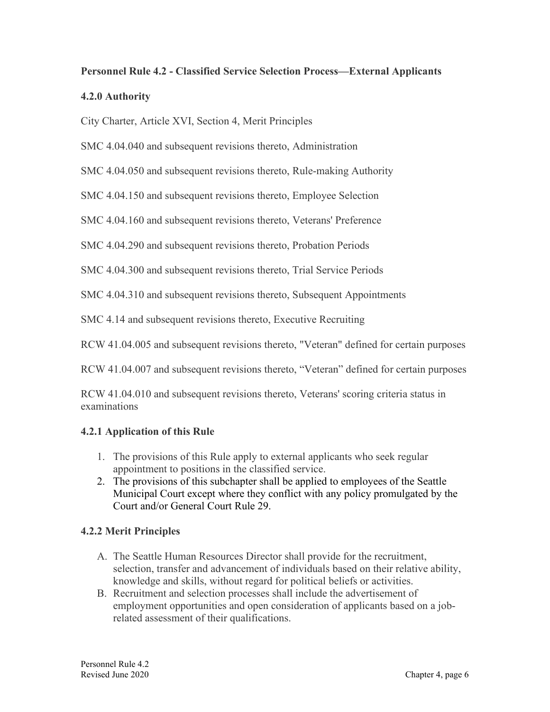# **Personnel Rule 4.2 - Classified Service Selection Process—External Applicants**

### **4.2.0 Authority**

City Charter, Article XVI, Section 4, Merit Principles

SMC 4.04.040 and subsequent revisions thereto, Administration

SMC 4.04.050 and subsequent revisions thereto, Rule-making Authority

SMC 4.04.150 and subsequent revisions thereto, Employee Selection

SMC 4.04.160 and subsequent revisions thereto, Veterans' Preference

SMC 4.04.290 and subsequent revisions thereto, Probation Periods

SMC 4.04.300 and subsequent revisions thereto, Trial Service Periods

SMC 4.04.310 and subsequent revisions thereto, Subsequent Appointments

SMC 4.14 and subsequent revisions thereto, Executive Recruiting

RCW 41.04.005 and subsequent revisions thereto, "Veteran" defined for certain purposes

RCW 41.04.007 and subsequent revisions thereto, "Veteran" defined for certain purposes

RCW 41.04.010 and subsequent revisions thereto, Veterans' scoring criteria status in examinations

# **4.2.1 Application of this Rule**

- 1. The provisions of this Rule apply to external applicants who seek regular appointment to positions in the classified service.
- 2. The provisions of this subchapter shall be applied to employees of the Seattle Municipal Court except where they conflict with any policy promulgated by the Court and/or General Court Rule 29.

# **4.2.2 Merit Principles**

- A. The Seattle Human Resources Director shall provide for the recruitment, selection, transfer and advancement of individuals based on their relative ability, knowledge and skills, without regard for political beliefs or activities.
- B. Recruitment and selection processes shall include the advertisement of employment opportunities and open consideration of applicants based on a jobrelated assessment of their qualifications.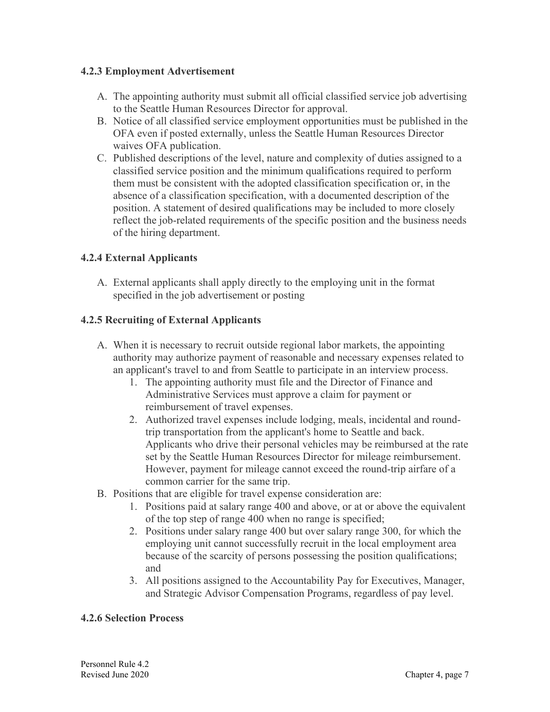#### **4.2.3 Employment Advertisement**

- A. The appointing authority must submit all official classified service job advertising to the Seattle Human Resources Director for approval.
- B. Notice of all classified service employment opportunities must be published in the OFA even if posted externally, unless the Seattle Human Resources Director waives OFA publication.
- C. Published descriptions of the level, nature and complexity of duties assigned to a classified service position and the minimum qualifications required to perform them must be consistent with the adopted classification specification or, in the absence of a classification specification, with a documented description of the position. A statement of desired qualifications may be included to more closely reflect the job-related requirements of the specific position and the business needs of the hiring department.

# **4.2.4 External Applicants**

A. External applicants shall apply directly to the employing unit in the format specified in the job advertisement or posting

## **4.2.5 Recruiting of External Applicants**

- A. When it is necessary to recruit outside regional labor markets, the appointing authority may authorize payment of reasonable and necessary expenses related to an applicant's travel to and from Seattle to participate in an interview process.
	- 1. The appointing authority must file and the Director of Finance and Administrative Services must approve a claim for payment or reimbursement of travel expenses.
	- 2. Authorized travel expenses include lodging, meals, incidental and roundtrip transportation from the applicant's home to Seattle and back. Applicants who drive their personal vehicles may be reimbursed at the rate set by the Seattle Human Resources Director for mileage reimbursement. However, payment for mileage cannot exceed the round-trip airfare of a common carrier for the same trip.
- B. Positions that are eligible for travel expense consideration are:
	- 1. Positions paid at salary range 400 and above, or at or above the equivalent of the top step of range 400 when no range is specified;
	- 2. Positions under salary range 400 but over salary range 300, for which the employing unit cannot successfully recruit in the local employment area because of the scarcity of persons possessing the position qualifications; and
	- 3. All positions assigned to the Accountability Pay for Executives, Manager, and Strategic Advisor Compensation Programs, regardless of pay level.

#### **4.2.6 Selection Process**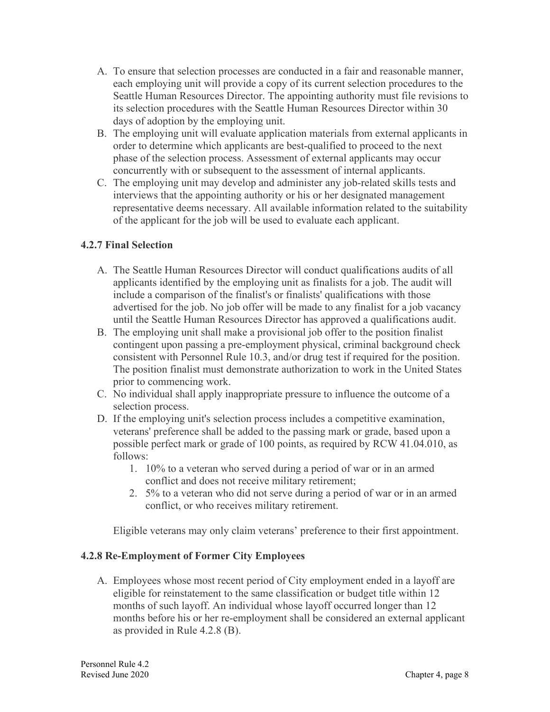- A. To ensure that selection processes are conducted in a fair and reasonable manner, each employing unit will provide a copy of its current selection procedures to the Seattle Human Resources Director. The appointing authority must file revisions to its selection procedures with the Seattle Human Resources Director within 30 days of adoption by the employing unit.
- B. The employing unit will evaluate application materials from external applicants in order to determine which applicants are best-qualified to proceed to the next phase of the selection process. Assessment of external applicants may occur concurrently with or subsequent to the assessment of internal applicants.
- C. The employing unit may develop and administer any job-related skills tests and interviews that the appointing authority or his or her designated management representative deems necessary. All available information related to the suitability of the applicant for the job will be used to evaluate each applicant.

## **4.2.7 Final Selection**

- A. The Seattle Human Resources Director will conduct qualifications audits of all applicants identified by the employing unit as finalists for a job. The audit will include a comparison of the finalist's or finalists' qualifications with those advertised for the job. No job offer will be made to any finalist for a job vacancy until the Seattle Human Resources Director has approved a qualifications audit.
- B. The employing unit shall make a provisional job offer to the position finalist contingent upon passing a pre-employment physical, criminal background check consistent with Personnel Rule 10.3, and/or drug test if required for the position. The position finalist must demonstrate authorization to work in the United States prior to commencing work.
- C. No individual shall apply inappropriate pressure to influence the outcome of a selection process.
- D. If the employing unit's selection process includes a competitive examination, veterans' preference shall be added to the passing mark or grade, based upon a possible perfect mark or grade of 100 points, as required by RCW 41.04.010, as follows:
	- 1. 10% to a veteran who served during a period of war or in an armed conflict and does not receive military retirement;
	- 2. 5% to a veteran who did not serve during a period of war or in an armed conflict, or who receives military retirement.

Eligible veterans may only claim veterans' preference to their first appointment.

#### **4.2.8 Re-Employment of Former City Employees**

A. Employees whose most recent period of City employment ended in a layoff are eligible for reinstatement to the same classification or budget title within 12 months of such layoff. An individual whose layoff occurred longer than 12 months before his or her re-employment shall be considered an external applicant as provided in Rule 4.2.8 (B).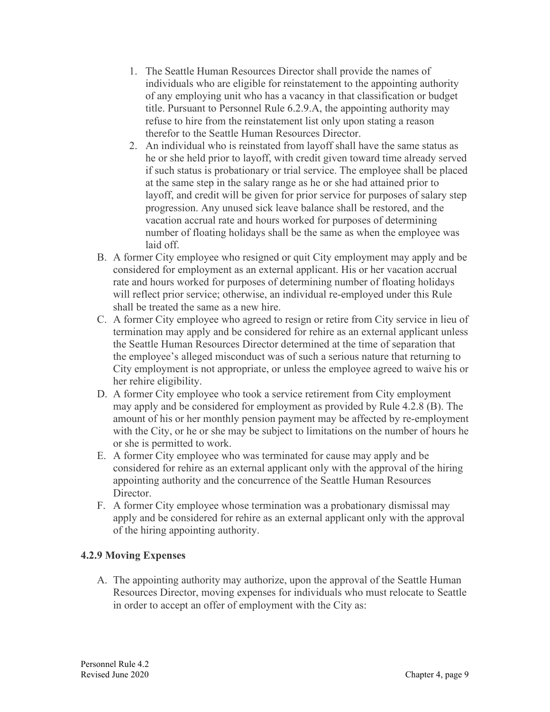- 1. The Seattle Human Resources Director shall provide the names of individuals who are eligible for reinstatement to the appointing authority of any employing unit who has a vacancy in that classification or budget title. Pursuant to Personnel Rule 6.2.9.A, the appointing authority may refuse to hire from the reinstatement list only upon stating a reason therefor to the Seattle Human Resources Director.
- 2. An individual who is reinstated from layoff shall have the same status as he or she held prior to layoff, with credit given toward time already served if such status is probationary or trial service. The employee shall be placed at the same step in the salary range as he or she had attained prior to layoff, and credit will be given for prior service for purposes of salary step progression. Any unused sick leave balance shall be restored, and the vacation accrual rate and hours worked for purposes of determining number of floating holidays shall be the same as when the employee was laid off.
- B. A former City employee who resigned or quit City employment may apply and be considered for employment as an external applicant. His or her vacation accrual rate and hours worked for purposes of determining number of floating holidays will reflect prior service; otherwise, an individual re-employed under this Rule shall be treated the same as a new hire.
- C. A former City employee who agreed to resign or retire from City service in lieu of termination may apply and be considered for rehire as an external applicant unless the Seattle Human Resources Director determined at the time of separation that the employee's alleged misconduct was of such a serious nature that returning to City employment is not appropriate, or unless the employee agreed to waive his or her rehire eligibility.
- D. A former City employee who took a service retirement from City employment may apply and be considered for employment as provided by Rule 4.2.8 (B). The amount of his or her monthly pension payment may be affected by re-employment with the City, or he or she may be subject to limitations on the number of hours he or she is permitted to work.
- E. A former City employee who was terminated for cause may apply and be considered for rehire as an external applicant only with the approval of the hiring appointing authority and the concurrence of the Seattle Human Resources Director.
- F. A former City employee whose termination was a probationary dismissal may apply and be considered for rehire as an external applicant only with the approval of the hiring appointing authority.

# **4.2.9 Moving Expenses**

A. The appointing authority may authorize, upon the approval of the Seattle Human Resources Director, moving expenses for individuals who must relocate to Seattle in order to accept an offer of employment with the City as: